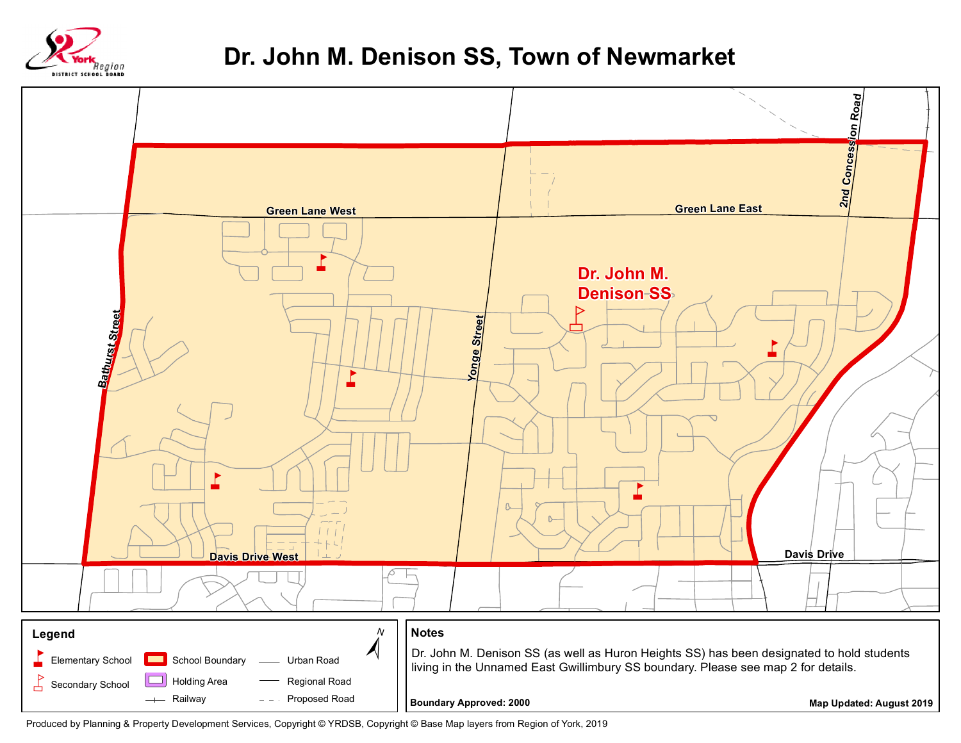

## **Dr. John M. Denison SS, Town of Newmarket**



Produced by Planning & Property Development Services, Copyright © YRDSB, Copyright © Base Map layers from Region of York, 2019